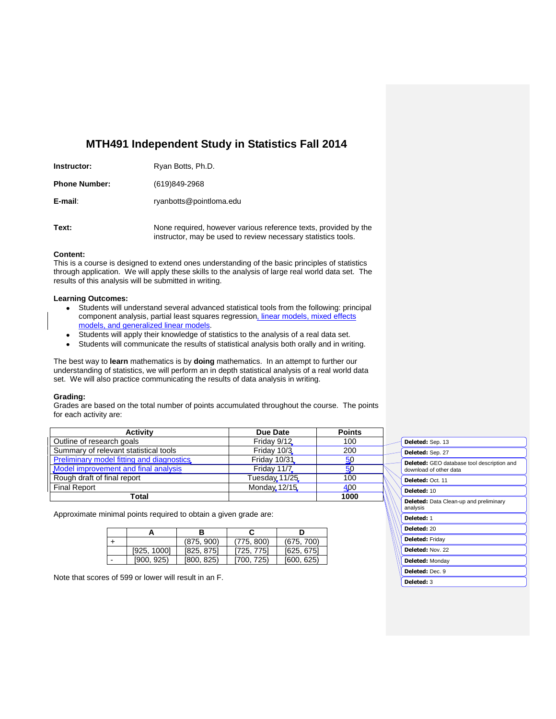# **MTH491 Independent Study in Statistics Fall 2014**

| Instructor:          | Ryan Botts, Ph.D.                                                                                                                |
|----------------------|----------------------------------------------------------------------------------------------------------------------------------|
| <b>Phone Number:</b> | (619)849-2968                                                                                                                    |
| E-mail:              | ryanbotts@pointloma.edu                                                                                                          |
| Text:                | None required, however various reference texts, provided by the<br>instructor, may be used to review necessary statistics tools. |

## **Content:**

This is a course is designed to extend ones understanding of the basic principles of statistics through application. We will apply these skills to the analysis of large real world data set. The results of this analysis will be submitted in writing.

## **Learning Outcomes:**

- Students will understand several advanced statistical tools from the following: principal component analysis, partial least squares regression, linear models, mixed effects models, and generalized linear models.
- Students will apply their knowledge of statistics to the analysis of a real data set.  $\bullet$
- $\bullet$ Students will communicate the results of statistical analysis both orally and in writing.

The best way to **learn** mathematics is by **doing** mathematics.In an attempt to further our understanding of statistics, we will perform an in depth statistical analysis of a real world data set. We will also practice communicating the results of data analysis in writing.

### **Grading:**

Grades are based on the total number of points accumulated throughout the course. The points for each activity are:

| <b>Activity</b>                           | Due Date           | <b>Points</b> |
|-------------------------------------------|--------------------|---------------|
| Outline of research goals                 | Friday 9/12        | 100           |
| Summary of relevant statistical tools     | Friday 10/3        | 200           |
| Preliminary model fitting and diagnostics | Friday 10/31       | 50            |
| Model improvement and final analysis      | <b>Friday 11/7</b> | 50            |
| Rough draft of final report               | Tuesday 11/25      | 100           |
| <b>Final Report</b>                       | Monday 12/15       | 400           |
| Total                                     |                    | 1000          |

Approximate minimal points required to obtain a given grade are:

|             | (875, 900) | (775, 800) | (675, 700) |
|-------------|------------|------------|------------|
| [925, 1000] | [825, 875] | [725, 775] | [625, 675] |
| [900. 925)  | [800, 825] | [700, 725] | [600, 625] |

Note that scores of 599 or lower will result in an F.

| Deleted: Sep. 13                                                     |  |  |  |
|----------------------------------------------------------------------|--|--|--|
| Deleted: Sep. 27                                                     |  |  |  |
| Deleted: GEO database tool description and<br>download of other data |  |  |  |
| Deleted: Oct. 11                                                     |  |  |  |
| Deleted: 10                                                          |  |  |  |
| <b>Deleted:</b> Data Clean-up and preliminary<br>analysis            |  |  |  |
| Deleted: 1                                                           |  |  |  |
| Deleted: 20                                                          |  |  |  |
| <b>Deleted: Friday</b>                                               |  |  |  |
| Deleted: Nov. 22                                                     |  |  |  |
| Deleted: Monday                                                      |  |  |  |
| Deleted: Dec. 9                                                      |  |  |  |
| Deleted: 3                                                           |  |  |  |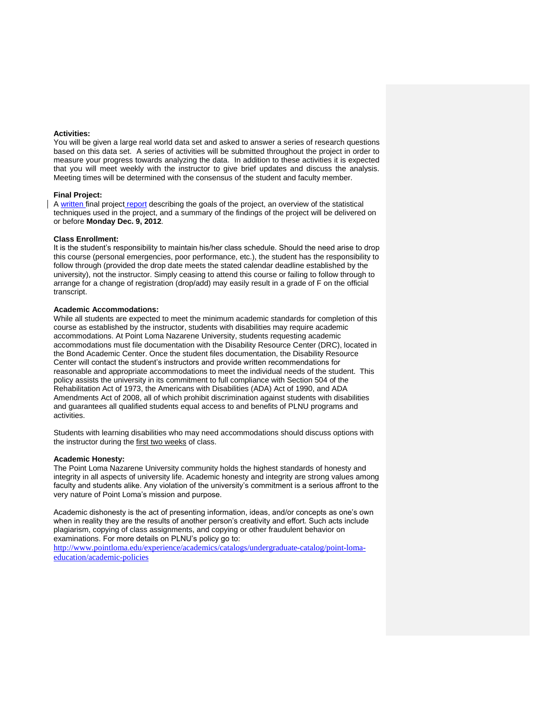### **Activities:**

You will be given a large real world data set and asked to answer a series of research questions based on this data set. A series of activities will be submitted throughout the project in order to measure your progress towards analyzing the data. In addition to these activities it is expected that you will meet weekly with the instructor to give brief updates and discuss the analysis. Meeting times will be determined with the consensus of the student and faculty member.

### **Final Project:**

A written final project report describing the goals of the project, an overview of the statistical techniques used in the project, and a summary of the findings of the project will be delivered on or before **Monday Dec. 9, 2012**.

### **Class Enrollment:**

It is the student's responsibility to maintain his/her class schedule. Should the need arise to drop this course (personal emergencies, poor performance, etc.), the student has the responsibility to follow through (provided the drop date meets the stated calendar deadline established by the university), not the instructor. Simply ceasing to attend this course or failing to follow through to arrange for a change of registration (drop/add) may easily result in a grade of F on the official transcript.

### **Academic Accommodations:**

While all students are expected to meet the minimum academic standards for completion of this course as established by the instructor, students with disabilities may require academic accommodations. At Point Loma Nazarene University, students requesting academic accommodations must file documentation with the Disability Resource Center (DRC), located in the Bond Academic Center. Once the student files documentation, the Disability Resource Center will contact the student's instructors and provide written recommendations for reasonable and appropriate accommodations to meet the individual needs of the student. This policy assists the university in its commitment to full compliance with Section 504 of the Rehabilitation Act of 1973, the Americans with Disabilities (ADA) Act of 1990, and ADA Amendments Act of 2008, all of which prohibit discrimination against students with disabilities and guarantees all qualified students equal access to and benefits of PLNU programs and activities.

Students with learning disabilities who may need accommodations should discuss options with the instructor during the first two weeks of class.

### **Academic Honesty:**

The Point Loma Nazarene University community holds the highest standards of honesty and integrity in all aspects of university life. Academic honesty and integrity are strong values among faculty and students alike. Any violation of the university's commitment is a serious affront to the very nature of Point Loma's mission and purpose.

Academic dishonesty is the act of presenting information, ideas, and/or concepts as one's own when in reality they are the results of another person's creativity and effort. Such acts include plagiarism, copying of class assignments, and copying or other fraudulent behavior on examinations. For more details on PLNU's policy go to:

[http://www.pointloma.edu/experience/academics/catalogs/undergraduate-catalog/point-loma](http://www.pointloma.edu/experience/academics/catalogs/undergraduate-catalog/point-loma-education/academic-policies)[education/academic-policies](http://www.pointloma.edu/experience/academics/catalogs/undergraduate-catalog/point-loma-education/academic-policies)